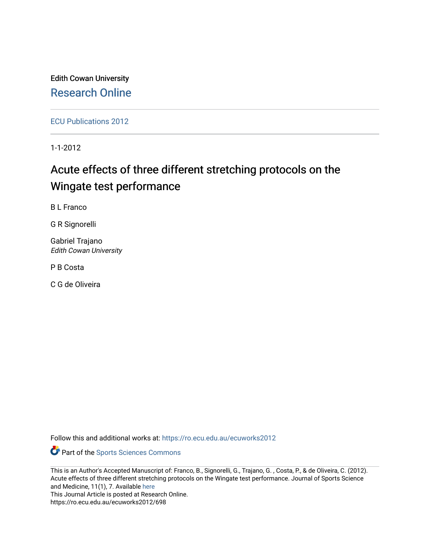Edith Cowan University [Research Online](https://ro.ecu.edu.au/) 

[ECU Publications 2012](https://ro.ecu.edu.au/ecuworks2012)

1-1-2012

# Acute effects of three different stretching protocols on the Wingate test performance

B L Franco

G R Signorelli

Gabriel Trajano Edith Cowan University

P B Costa

C G de Oliveira

Follow this and additional works at: [https://ro.ecu.edu.au/ecuworks2012](https://ro.ecu.edu.au/ecuworks2012?utm_source=ro.ecu.edu.au%2Fecuworks2012%2F698&utm_medium=PDF&utm_campaign=PDFCoverPages) 

Part of the [Sports Sciences Commons](http://network.bepress.com/hgg/discipline/759?utm_source=ro.ecu.edu.au%2Fecuworks2012%2F698&utm_medium=PDF&utm_campaign=PDFCoverPages) 

This is an Author's Accepted Manuscript of: Franco, B., Signorelli, G., Trajano, G. , Costa, P., & de Oliveira, C. (2012). Acute effects of three different stretching protocols on the Wingate test performance. Journal of Sports Science and Medicine, 11(1), 7. Available [here](http://www.jssm.org/vol11/n1/1/v11n1-1text.php)

This Journal Article is posted at Research Online.

https://ro.ecu.edu.au/ecuworks2012/698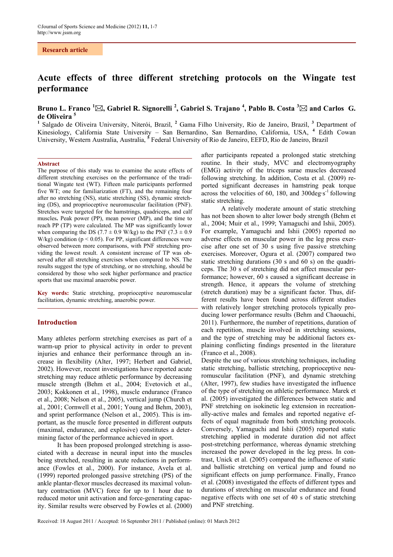# **Research article**

# **Acute effects of three different stretching protocols on the Wingate test performance**

# **Bruno L. Franco <sup>1</sup> , Gabriel R. Signorelli <sup>2</sup> , Gabriel S. Trajano <sup>4</sup> , Pablo B. Costa <sup>3</sup> and Carlos G. de Oliveira 5**

<sup>1</sup> Salgado de Oliveira University, Niterói, Brazil, <sup>2</sup> Gama Filho University, Rio de Janeiro, Brazil, <sup>3</sup> Department of Kinesiology, California State University – San Bernardino, San Bernardino, California, USA, **<sup>4</sup>** Edith Cowan University, Western Australia, Australia, **<sup>5</sup>** Federal University of Rio de Janeiro, EEFD, Rio de Janeiro, Brazil

#### **Abstract**

The purpose of this study was to examine the acute effects of different stretching exercises on the performance of the traditional Wingate test (WT). Fifteen male participants performed five WT; one for familiarization (FT), and the remaining four after no stretching (NS), static stretching (SS), dynamic stretching (DS), and proprioceptive neuromuscular facilitation (PNF). Stretches were targeted for the hamstrings, quadriceps, and calf muscles**.** Peak power (PP), mean power (MP), and the time to reach PP (TP) were calculated. The MP was significantly lower when comparing the DS (7.7  $\pm$  0.9 W/kg) to the PNF (7.3  $\pm$  0.9 W/kg) condition ( $p < 0.05$ ). For PP, significant differences were observed between more comparisons, with PNF stretching providing the lowest result. A consistent increase of TP was observed after all stretching exercises when compared to NS. The results suggest the type of stretching, or no stretching, should be considered by those who seek higher performance and practice sports that use maximal anaerobic power.

**Key words:** Static stretching, proprioceptive neuromuscular facilitation, dynamic stretching, anaerobic power.

#### **Introduction**

Many athletes perform stretching exercises as part of a warm-up prior to physical activity in order to prevent injuries and enhance their performance through an increase in flexibility (Alter, 1997; Herbert and Gabriel, 2002). However, recent investigations have reported acute stretching may reduce athletic performance by decreasing muscle strength (Behm et al., 2004; Evetovich et al., 2003; Kokkonen et al., 1998), muscle endurance (Franco et al., 2008; Nelson et al., 2005), vertical jump (Church et al., 2001; Cornwell et al., 2001; Young and Behm, 2003), and sprint performance (Nelson et al., 2005). This is important, as the muscle force presented in different outputs (maximal, endurance, and explosive) constitutes a determining factor of the performance achieved in sport.

It has been proposed prolonged stretching is associated with a decrease in neural input into the muscles being stretched, resulting in acute reductions in performance (Fowles et al., 2000). For instance, Avela et al. (1999) reported prolonged passive stretching (PS) of the ankle plantar-flexor muscles decreased its maximal voluntary contraction (MVC) force for up to 1 hour due to reduced motor unit activation and force-generating capacity. Similar results were observed by Fowles et al. (2000) after participants repeated a prolonged static stretching routine. In their study, MVC and electromyography (EMG) activity of the triceps surae muscles decreased following stretching. In addition, Costa et al. (2009) reported significant decreases in hamstring peak torque across the velocities of 60, 180, and 300deg·s-1 following static stretching.

A relatively moderate amount of static stretching has not been shown to alter lower body strength (Behm et al., 2004; Muir et al., 1999; Yamaguchi and Ishii, 2005). For example, Yamaguchi and Ishii (2005) reported no adverse effects on muscular power in the leg press exercise after one set of 30 s using five passive stretching exercises. Moreover, Ogura et al. (2007) compared two static stretching durations (30 s and 60 s) on the quadriceps. The 30 s of stretching did not affect muscular performance; however, 60 s caused a significant decrease in strength. Hence, it appears the volume of stretching (stretch duration) may be a significant factor. Thus, different results have been found across different studies with relatively longer stretching protocols typically producing lower performance results (Behm and Chaouachi, 2011). Furthermore, the number of repetitions, duration of each repetition, muscle involved in stretching sessions, and the type of stretching may be additional factors explaining conflicting findings presented in the literature (Franco et al., 2008).

Despite the use of various stretching techniques, including static stretching, ballistic stretching, proprioceptive neuromuscular facilitation (PNF), and dynamic stretching (Alter, 1997), few studies have investigated the influence of the type of stretching on athletic performance. Marek et al. (2005) investigated the differences between static and PNF stretching on isokinetic leg extension in recreationally-active males and females and reported negative effects of equal magnitude from both stretching protocols. Conversely, Yamaguchi and Ishii (2005) reported static stretching applied in moderate duration did not affect post-stretching performance, whereas dynamic stretching increased the power developed in the leg press. In contrast, Unick et al. (2005) compared the influence of static and ballistic stretching on vertical jump and found no significant effects on jump performance. Finally, Franco et al. (2008) investigated the effects of different types and durations of stretching on muscular endurance and found negative effects with one set of 40 s of static stretching and PNF stretching.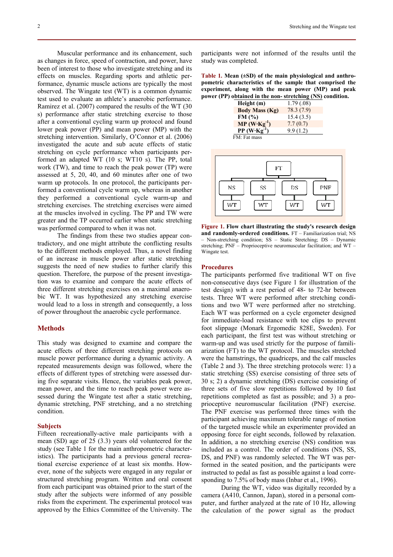Muscular performance and its enhancement, such as changes in force, speed of contraction, and power, have been of interest to those who investigate stretching and its effects on muscles. Regarding sports and athletic performance, dynamic muscle actions are typically the most observed. The Wingate test (WT) is a common dynamic test used to evaluate an athlete's anaerobic performance. Ramirez et al. (2007) compared the results of the WT (30 s) performance after static stretching exercise to those after a conventional cycling warm up protocol and found lower peak power (PP) and mean power (MP) with the stretching intervention. Similarly, O'Connor et al. (2006) investigated the acute and sub acute effects of static stretching on cycle performance when participants performed an adapted WT (10 s; WT10 s). The PP, total work (TW), and time to reach the peak power (TP) were assessed at 5, 20, 40, and 60 minutes after one of two warm up protocols. In one protocol, the participants performed a conventional cycle warm up, whereas in another they performed a conventional cycle warm-up and stretching exercises. The stretching exercises were aimed at the muscles involved in cycling. The PP and TW were greater and the TP occurred earlier when static stretching was performed compared to when it was not.

The findings from these two studies appear contradictory, and one might attribute the conflicting results to the different methods employed. Thus, a novel finding of an increase in muscle power after static stretching suggests the need of new studies to further clarify this question. Therefore, the purpose of the present investigation was to examine and compare the acute effects of three different stretching exercises on a maximal anaerobic WT. It was hypothesized any stretching exercise would lead to a loss in strength and consequently, a loss of power throughout the anaerobic cycle performance.

# **Methods**

This study was designed to examine and compare the acute effects of three different stretching protocols on muscle power performance during a dynamic activity. A repeated measurements design was followed, where the effects of different types of stretching were assessed during five separate visits. Hence, the variables peak power, mean power, and the time to reach peak power were assessed during the Wingate test after a static stretching, dynamic stretching, PNF stretching, and a no stretching condition.

#### **Subjects**

Fifteen recreationally-active male participants with a mean (SD) age of 25 (3.3) years old volunteered for the study (see Table 1 for the main anthropometric characteristics). The participants had a previous general recreational exercise experience of at least six months. However, none of the subjects were engaged in any regular or structured stretching program. Written and oral consent from each participant was obtained prior to the start of the study after the subjects were informed of any possible risks from the experiment. The experimental protocol was approved by the Ethics Committee of the University. The

**Table 1. Mean (±SD) of the main physiological and anthropometric characteristics of the sample that comprised the experiment, along with the mean power (MP) and peak power (PP) obtained in the non- stretching (NS) condition.** 

| Height (m)             | 1.79(0.08) |
|------------------------|------------|
| <b>Body Mass (Kg)</b>  | 78.3(7.9)  |
| FM(%)                  | 15.4(3.5)  |
| $MP (W \cdot Kg^{-1})$ | 7.7(0.7)   |
| $PP (W Kg^{-1})$       | 9.9(1.2)   |
| FM: Fat mass           |            |



**Figure 1. Flow chart illustrating the study's research design and randomly-ordered conditions.** FT – Familiarization trial; NS – Non-stretching condition; SS – Static Stretching; DS – Dynamic stretching; PNF – Proprioceptive neuromuscular facilitation; and WT – Wingate test.

#### **Procedures**

study was completed.

The participants performed five traditional WT on five non-consecutive days (see Figure 1 for illustration of the test design) with a rest period of 48- to 72-hr between tests. Three WT were performed after stretching conditions and two WT were performed after no stretching. Each WT was performed on a cycle ergometer designed for immediate-load resistance with toe clips to prevent foot slippage (Monark Ergomedic 828E, Sweden). For each participant, the first test was without stretching or warm-up and was used strictly for the purpose of familiarization (FT) to the WT protocol. The muscles stretched were the hamstrings, the quadriceps, and the calf muscles (Table 2 and 3). The three stretching protocols were: 1) a static stretching (SS) exercise consisting of three sets of 30 s; 2) a dynamic stretching (DS) exercise consisting of three sets of five slow repetitions followed by 10 fast repetitions completed as fast as possible; and 3) a proprioceptive neuromuscular facilitation (PNF) exercise. The PNF exercise was performed three times with the participant achieving maximum tolerable range of motion of the targeted muscle while an experimenter provided an opposing force for eight seconds, followed by relaxation. In addition, a no stretching exercise (NS) condition was included as a control. The order of conditions (NS, SS, DS, and PNF) was randomly selected. The WT was performed in the seated position, and the participants were instructed to pedal as fast as possible against a load corresponding to 7.5% of body mass (Inbar et al., 1996).

During the WT, video was digitally recorded by a camera (A410, Cannon, Japan), stored in a personal computer, and further analyzed at the rate of 10 Hz, allowing the calculation of the power signal as the product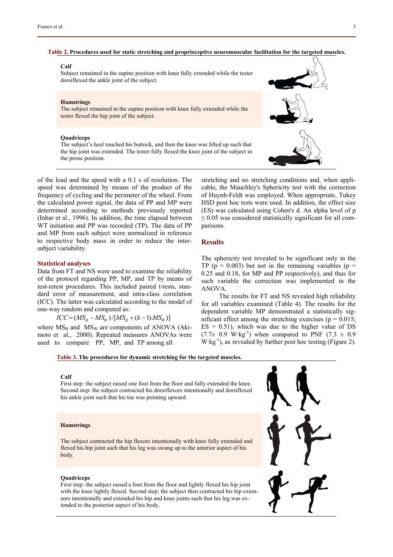#### **Table 2. Procedures used for static stretching and proprioceptive neuromuscular facilitation for the targeted muscles.**

#### **Calf**

Subject remained in the supine position with knee fully extended while the tester dorsiflexed the ankle joint of the subject.

#### **Hamstrings**

The subject remained in the supine position with knee fully extended while the tester flexed the hip joint of the subject.

#### **Quadriceps**

The subject's heel touched his buttock, and then the knee was lifted up such that the hip joint was extended. The tester fully flexed the knee joint of the subject in the prone position.



of the load and the speed with a 0.1 s of resolution. The speed was determined by means of the product of the frequency of cycling and the perimeter of the wheel. From the calculated power signal, the data of PP and MP were determined according to methods previously reported (Inbar et al., 1996). In addition, the time elapsed between WT initiation and PP was recorded (TP). The data of PP and MP from each subject were normalized in reference to respective body mass in order to reduce the intersubject variability.

# **Statistical analyses**

Data from FT and NS were used to examine the reliability of the protocol regarding PP, MP, and TP by means of test-retest procedures. This included paired t-tests, standard error of measurement, and intra-class correlation (ICC). The latter was calculated according to the model of one-way random and computed as:

$$
ICC=(MS_B - MS_W)/[MS_B + (k-1)MS_W)]
$$

where  $MS_B$  and  $MS_W$  are components of ANOVA (Akimoto et al., 2000). Repeated measures ANOVAs were used to compare PP, MP, and TP among all

stretching and no stretching conditions and, when applicable, the Mauchley's Sphericity test with the correction of Huynh-Feldt was employed. When appropriate, Tukey HSD post hoc tests were used. In addition, the effect size (ES) was calculated using Cohen's d. An alpha level of p  $\leq$  0.05 was considered statistically significant for all comparisons.

## **Results**

The sphericity test revealed to be significant only in the TP ( $p = 0.003$ ) but not in the remaining variables ( $p =$ 0.25 and 0.18, for MP and PP respectively), and thus for such variable the correction was implemented in the ANOVA.

The results for FT and NS revealed high reliability for all variables examined (Table 4). The results for the dependent variable MP demonstrated a statistically significant effect among the stretching exercises ( $p = 0.015$ ;  $ES = 0.51$ , which was due to the higher value of DS  $(7.7\pm 0.9 \text{ W} \cdot \text{kg}^{-1})$  when compared to PNF  $(7.3 \pm 0.9 \text{ W} \cdot \text{kg}^{-1})$  $W \cdot kg^{-1}$ ), as revealed by further post hoc testing (Figure 2).

#### **Table 3. The procedures for dynamic stretching for the targeted muscles.**

## **Calf**

First step: the subject raised one foot from the floor and fully extended the knee. Second step: the subject contracted his dorsiflexors intentionally and dorsiflexed his ankle joint such that his toe was pointing upward.

#### **Hamstrings**

The subject contracted the hip flexors intentionally with knee fully extended and flexed his hip joint such that his leg was swung up to the anterior aspect of his body.

### **Quadriceps**

First step: the subject raised a foot from the floor and lightly flexed his hip joint with the knee lightly flexed. Second step: the subject then contracted his hip extensors intentionally and extended his hip and knee joints such that his leg was extended to the posterior aspect of his body.

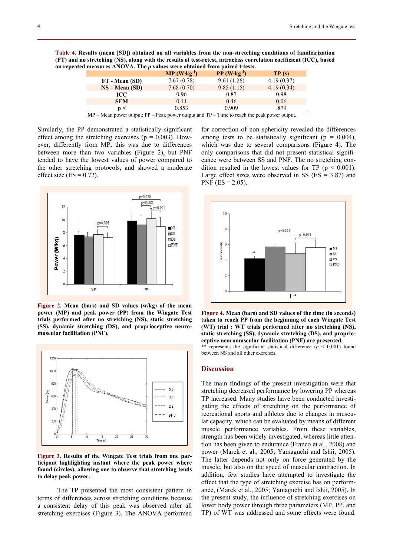**Table 4. Results (mean [SD]) obtained on all variables from the non-stretching conditions of familiarization (FT) and no stretching (NS), along with the results of test-retest, intraclass correlation coefficient (ICC), based on repeated measures ANOVA. The** *p* **values were obtained from paired t-tests.** 

|                 | $MP (W \cdot kg^{-1})$ | $PP (W \cdot kg^{-1})$ | TP(s)      |
|-----------------|------------------------|------------------------|------------|
| FT - Mean (SD)  | 7.67(0.78)             | 9.61(1.26)             | 4.19(0.37) |
| $NS - Mean(SD)$ | 7.68(0.70)             | 9.85(1.15)             | 4.19(0.34) |
| ICC             | 0.96                   | 0.87                   | 0.98       |
| <b>SEM</b>      | 0.14                   | 0.46                   | 0.06       |
| n <             | 0.853                  | 0.909                  | 879        |

MP – Mean power output; PP – Peak power output and TP – Time to reach the peak power output.

Similarly, the PP demonstrated a statistically significant effect among the stretching exercises ( $p = 0.003$ ). However, differently from MP, this was due to differences between more than two variables (Figure 2), but PNF tended to have the lowest values of power compared to the other stretching protocols, and showed a moderate effect size  $(ES = 0.72)$ .



**Figure 2. Mean (bars) and SD values (w/kg) of the mean power (MP) and peak power (PP) from the Wingate Test trials performed after no stretching (NS), static stretching (SS), dynamic stretching (DS), and proprioceptive neuromuscular facilitation (PNF).**



**Figure 3. Results of the Wingate Test trials from one participant highlighting instant where the peak power where found (circles), allowing one to observe that stretching tends to delay peak power.** 

The TP presented the most consistent pattern in terms of differences across stretching conditions because a consistent delay of this peak was observed after all stretching exercises (Figure 3). The ANOVA performed

for correction of non sphericity revealed the differences among tests to be statistically significant ( $p = 0.004$ ), which was due to several comparisons (Figure 4). The only comparisons that did not present statistical significance were between SS and PNF. The no stretching condition resulted in the lowest values for TP ( $p < 0.001$ ). Large effect sizes were observed in SS ( $ES = 3.87$ ) and PNF ( $ES = 2.05$ ).



**Figure 4. Mean (bars) and SD values of the time (in seconds) taken to reach PP from the beginning of each Wingate Test (WT) trial : WT trials performed after no stretching (NS), static stretching (SS), dynamic stretching (DS), and proprioceptive neuromuscular facilitation (PNF) are presented.**  \*\* represents the significant statistical difference  $(p < 0.001)$  found

between NS and all other exercises.

# **Discussion**

The main findings of the present investigation were that stretching decreased performance by lowering PP whereas TP increased. Many studies have been conducted investigating the effects of stretching on the performance of recreational sports and athletes due to changes in muscular capacity, which can be evaluated by means of different muscle performance variables. From these variables, strength has been widely investigated, whereas little attention has been given to endurance (Franco et al., 2008) and power (Marek et al., 2005; Yamaguchi and Ishii, 2005). The latter depends not only on force generated by the muscle, but also on the speed of muscular contraction. In addition, few studies have attempted to investigate the effect that the type of stretching exercise has on performance, (Marek et al., 2005; Yamaguchi and Ishii, 2005). In the present study, the influence of stretching exercises on lower body power through three parameters (MP, PP, and TP) of WT was addressed and some effects were found.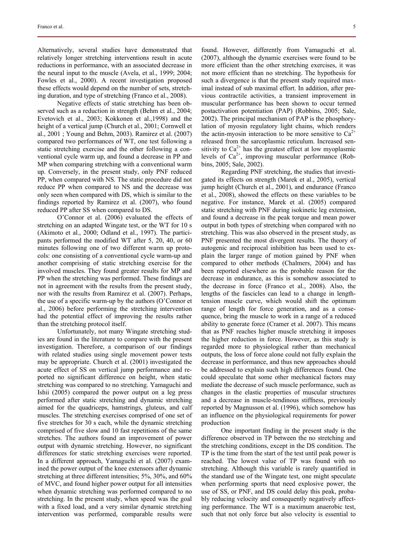Alternatively, several studies have demonstrated that relatively longer stretching interventions result in acute reductions in performance, with an associated decrease in the neural input to the muscle (Avela, et al., 1999; 2004; Fowles et al., 2000). A recent investigation proposed these effects would depend on the number of sets, stretching duration, and type of stretching (Franco et al., 2008).

Negative effects of static stretching has been observed such as a reduction in strength (Behm et al., 2004; Evetovich et al., 2003; Kokkonen et al.,1998) and the height of a vertical jump (Church et al., 2001; Cornwell et al., 2001 ; Young and Behm, 2003). Ramirez et al. (2007) compared two performances of WT, one test following a static stretching exercise and the other following a conventional cycle warm up, and found a decrease in PP and MP when comparing stretching with a conventional warm up. Conversely, in the present study, only PNF reduced PP, when compared with NS. The static procedure did not reduce PP when compared to NS and the decrease was only seen when compared with DS, which is similar to the findings reported by Ramirez et al. (2007), who found reduced PP after SS when compared to DS.

O'Connor et al. (2006) evaluated the effects of stretching on an adapted Wingate test, or the WT for 10 s (Akimoto et al., 2000; Odland et al., 1997). The participants performed the modified WT after 5, 20, 40, or 60 minutes following one of two different warm up protocols: one consisting of a conventional cycle warm-up and another comprising of static stretching exercise for the involved muscles. They found greater results for MP and PP when the stretching was performed. These findings are not in agreement with the results from the present study, nor with the results from Ramirez et al. (2007). Perhaps, the use of a specific warm-up by the authors (O'Connor et al., 2006) before performing the stretching intervention had the potential effect of improving the results rather than the stretching protocol itself.

Unfortunately, not many Wingate stretching studies are found in the literature to compare with the present investigation. Therefore, a comparison of our findings with related studies using single movement power tests may be appropriate. Church et al. (2001) investigated the acute effect of SS on vertical jump performance and reported no significant difference on height, when static stretching was compared to no stretching. Yamaguchi and Ishii (2005) compared the power output on a leg press performed after static stretching and dynamic stretching aimed for the quadriceps, hamstrings, gluteus, and calf muscles. The stretching exercises comprised of one set of five stretches for 30 s each, while the dynamic stretching comprised of five slow and 10 fast repetitions of the same stretches. The authors found an improvement of power output with dynamic stretching. However, no significant differences for static stretching exercises were reported. In a different approach, Yamaguchi et al. (2007) examined the power output of the knee extensors after dynamic stretching at three different intensities; 5%, 30%, and 60% of MVC, and found higher power output for all intensities when dynamic stretching was performed compared to no stretching. In the present study, when speed was the goal with a fixed load, and a very similar dynamic stretching intervention was performed, comparable results were

found. However, differently from Yamaguchi et al. (2007), although the dynamic exercises were found to be more efficient than the other stretching exercises, it was not more efficient than no stretching. The hypothesis for such a divergence is that the present study required maximal instead of sub maximal effort. In addition, after previous contractile activities, a transient improvement in muscular performance has been shown to occur termed postactivation potentiation (PAP) (Robbins, 2005; Sale, 2002). The principal mechanism of PAP is the phosphorylation of myosin regulatory light chains, which renders the actin-myosin interaction to be more sensitive to  $Ca^{2+}$ released from the sarcoplasmic reticulum. Increased sensitivity to  $Ca^{2+}$  has the greatest effect at low myoplasmic levels of  $Ca^{2+}$ , improving muscular performance (Robbins, 2005; Sale, 2002).

Regarding PNF stretching, the studies that investigated its effects on strength (Marek et al., 2005), vertical jump height (Church et al., 2001), and endurance (Franco et al., 2008), showed the effects on these variables to be negative. For instance, Marek et al. (2005) compared static stretching with PNF during isokinetic leg extension, and found a decrease in the peak torque and mean power output in both types of stretching when compared with no stretching. This was also observed in the present study, as PNF presented the most divergent results. The theory of autogenic and reciprocal inhibition has been used to explain the larger range of motion gained by PNF when compared to other methods (Chalmers, 2004) and has been reported elsewhere as the probable reason for the decrease in endurance, as this is somehow associated to the decrease in force (Franco et al., 2008). Also, the lengths of the fascicles can lead to a change in lengthtension muscle curve, which would shift the optimum range of length for force generation, and as a consequence, bring the muscle to work in a range of a reduced ability to generate force (Cramer et al. 2007). This means that as PNF reaches higher muscle stretching it imposes the higher reduction in force. However, as this study is regarded more to physiological rather than mechanical outputs, the loss of force alone could not fully explain the decrease in performance, and thus new approaches should be addressed to explain such high differences found. One could speculate that some other mechanical factors may mediate the decrease of such muscle performance, such as changes in the elastic properties of muscular structures and a decrease in muscle-tendinous stiffness, previously reported by Magnusson et al. (1996), which somehow has an influence on the physiological requirements for power production

One important finding in the present study is the difference observed in TP between the no stretching and the stretching conditions, except in the DS condition. The TP is the time from the start of the test until peak power is reached. The lowest value of TP was found with no stretching. Although this variable is rarely quantified in the standard use of the Wingate test, one might speculate when performing sports that need explosive power, the use of SS, or PNF, and DS could delay this peak, probably reducing velocity and consequently negatively affecting performance. The WT is a maximum anaerobic test, such that not only force but also velocity is essential to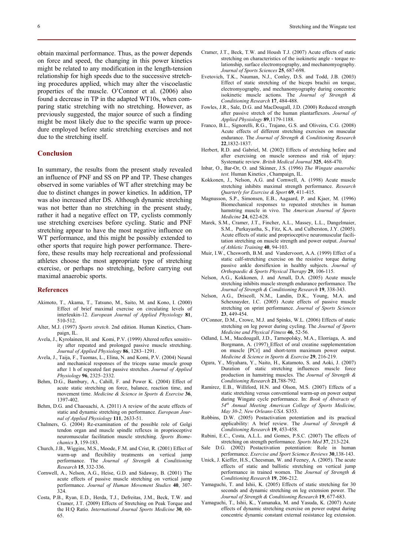obtain maximal performance. Thus, as the power depends on force and speed, the changing in this power kinetics might be related to any modification in the length-tension relationship for high speeds due to the successive stretching procedures applied, which may alter the viscoelastic properties of the muscle. O'Connor et al. (2006) also found a decrease in TP in the adapted WT10s, when comparing static stretching with no stretching. However, as previously suggested, the major source of such a finding might be most likely due to the specific warm up procedure employed before static stretching exercises and not due to the stretching itself.

## **Conclusion**

In summary, the results from the present study revealed an influence of PNF and SS on PP and TP. These changes observed in some variables of WT after stretching may be due to distinct changes in power kinetics. In addition, TP was also increased after DS. Although dynamic stretching was not better than no stretching in the present study, rather it had a negative effect on TP, cyclists commonly use stretching exercises before cycling. Static and PNF stretching appear to have the most negative influence on WT performance, and this might be possibly extended to other sports that require high power performance. Therefore, these results may help recreational and professional athletes choose the most appropriate type of stretching exercise, or perhaps no stretching, before carrying out maximal anaerobic sports.

# **References**

- Akimoto, T., Akama, T., Tatsuno, M., Saito, M. and Kono, I. (2000) Effect of brief maximal exercise on circulating levels of interleukin-12. *European Journal of Applied Physiology* **81**, 510-512.
- Alter, M.J. (1997) *Sports stretch*. 2nd edition. Human Kinetics, Champaign, IL.
- Avela, J., Kyrolainen, H. and Komi, P.V. (1999) Altered reflex sensitivity after repeated and prolonged passive muscle stretching. *Journal of Applied Physiology* **86**, 1283–1291.
- Avela, J., Taija, F., Tuomas, L., Elina, N. and Komi, P.V. (2004) Neural and mechanical responses of the triceps surae muscle group after 1 h of repeated fast passive stretches. *Journal of Applied Physiology* **96**, 2325–2332.
- Behm, D.G., Bambury, A., Cahill, F. and Power K. (2004) Effect of acute static stretching on force, balance, reaction time, and movement time. *Medicine & Science in Sports & Exercise* **36**, 1397-402.
- Behm, D.G. and Chaouachi, A. (2011) A review of the acute effects of static and dynamic stretching on performance. *European Journal of Applied Physiology* **111**, 2633-51.
- Chalmers, G. (2004) Re-examination of the possible role of Golgi tendon organ and muscle spindle reflexes in proprioceptive neuromuscular facilitation muscle stretching. *Sports Biomechanics* **3**, 159-183.
- Church, J.B., Wiggins, M.S., Moode, F.M. and Crist, R. (2001) Effect of warm-up and flexibility treatments on vertical jump performance. The *Journal of Strength & Conditioning Research* **15**, 332-336.
- Cornwell, A., Nelson, A.G., Heise, G.D. and Sidaway, B. (2001) The acute effects of passive muscle stretching on vertical jump performance. *Journal of Human Movement Studies* **40**, 307- 324.
- Costa, P.B., Ryan, E.D., Herda, T.J., Defreitas, J.M., Beck, T.W. and Cramer, J.T. (2009) Effects of Stretching on Peak Torque and the H:Q Ratio. *International Journal Sports Medicine* **30**, 60- 65.
- Cramer, J.T., Beck, T.W. and Housh T.J. (2007) Acute effects of static stretching on characteristics of the isokinetic angle - torque relationship, surface electromyography, and mechanomyography. *Journal of Sports Sciences* **25**, 687-698.
- Evetovich, T.K., Nauman, N.J., Conley, D.S. and Todd, J.B. (2003) Effect of static stretching of the biceps brachii on torque, electromyography, and mechanomyography during concentric isokinetic muscle actions. The *Journal of Strength & Conditioning Research* **17**, 484-488.
- Fowles, J.R., Sale, D.G. and MacDougall, J.D. (2000) Reduced strength after passive stretch of the human plantarflexors. *Journal of Applied Physiology* **89**,1179-1188.
- Franco, B.L., Signorelli, R.G., Trajano, G.S. and Oliveira, C.G. (2008) Acute effects of different stretching exercises on muscular endurance. The *Journal of Strength & Conditioning Research*  **22**,1832-1837.
- Herbert, R.D. and Gabriel, M. (2002) Effects of stretching before and after exercising on muscle soreness and risk of injury: Systematic review. *Britsh Medical Journal* **325**, 468-470.
- Inbar, O., Bar-Or, O. and Skinner, J.S. (1996) *The Wingate anaerobic test.* Human Kinetics , Champaign, IL.
- Kokkonen, J., Nelson, A.G. and Cornwell, A. (1998) Acute muscle stretching inhibits maximal strength performance. *Research Quarterly for Exercise & Sport* **69**, 411-415.
- Magnusson, S.P., Simonsen, E.B., Aagaard, P. and Kjaer, M. (1996) Biomechanical responses to repeated stretches in human hamstring muscle in vivo. The *American Journal of Sports Medicine* **24**, 622-628.
- Marek, S.M., Cramer, J.T., Fincher, A.L., Massey, L.L., Dangelmaier, S.M., Purkayastha, S., Fitz, K.A. and Culberston, J.Y. (2005). Acute effects of static and proprioceptive neuromuscular facilitation stretching on muscle strength and power output. *Journal of Athletic Training* **40**, 94-103.
- Muir, I.W., Chesworth, B.M. and Vandervoort, A.A. (1999) Effect of a static calf-stretching exercise on the resistive torque during passive ankle dorsiflexion in healthy subjects. *Journal of Orthopaedic & Sports Physical Therapy* **29**, 106-115.
- Nelson, A.G., Kokkonen, J. and Arnall, D.A. (2005) Acute muscle stretching inhibits muscle strength endurance performance. The *Journal of Strength & Conditioning Research* **19**, 338-343.
- Nelson, A.G., Driscoll, N.M., Landin, D.K., Young, M.A. and Schexnayder, I.C. (2005) Acute effects of passive muscle stretching on sprint performance. *Journal of Sports Sciences* **23**, 449-454.
- O'Connor, D.M., Crowe, M.J. and Spinks, W.L. (2006) Effects of static stretching on leg power during cycling. The *Journal of Sports Medicine and Physical Fitness* **46**, 52-56.
- Odland, L.M., Macdougall, J.D., Tarnopolsky, M.A., Elorriaga, A. and Borgmann, A. (1997) Effect of oral creatine supplementation on muscle [PCr] and short-term maximum power output. *Medicine & Science in Sports & Exercise* **29**, 216-219.
- Ogura, Y., Miyahara, Y., Naito, H., Katamoto, S. and Aoki, J. (2007) Duration of static stretching influences muscle force production in hamstring muscles. The *Journal of Strength & Conditioning Research* **21**,788-792.
- Ramirez, E.B., Williford, H.N. and Olson, M.S. (2007) Effects of a static stretching versus conventional warm-up on power output during Wingate cycle performance. In: *Book of Abstracts of 54th Annual Meeting American College of Sports Medicine, May 30-2, New Orleans-USA*. S353.
- Robbins, D.W. (2005) Postactivation potentiation and its practical applicability: A brief review. The *Journal of Strength & Conditioning Research* **19**, 453-458.
- Rubini, E.C., Costa, A.L.L. and Gomes, P.S.C. (2007) The effects of stretching on strength performance. *Sports Med* **37**, 213-224.
- Sale D.G. (2002) Postactivation potentiation: Role in human performance. *Exercise and Sport Sciemce Reviews* **30**,138-143.
- Unick, J. Kieffer, H.S., Cheesman, W. and Feeney, A. (2005). The acute effects of static and ballistic stretching on vertical jump performance in trained women. The *Journal of Strength & Conditioning Research* **19**, 206-212.
- Yamaguchi, T. and Ishii, K. (2005) Effects of static stretching for 30 seconds and dynamic stretching on leg extension power. The *Journal of Strength & Conditioning Research* **19**, 677-683.
- Yamaguchi, T., Ishii, K., Yamanaka, M. and Yasuda, K. (2007) Acute effects of dynamic stretching exercise on power output during concentric dynamic constant external resistance leg extension.